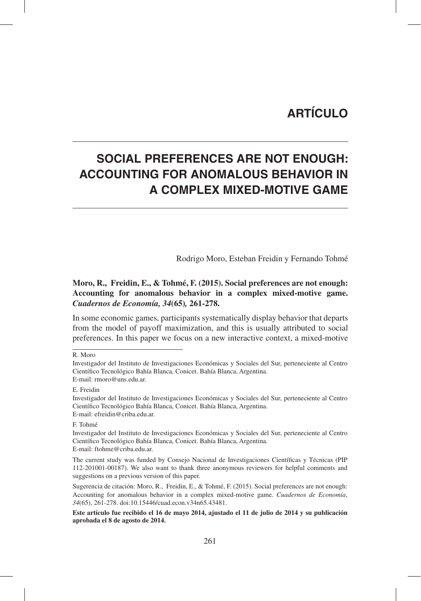# **ARTÍCULO**

# **SOCIAL PREFERENCES ARE NOT ENOUGH: ACCOUNTING FOR ANOMALOUS BEHAVIOR IN A COMPLEX MIXED-MOTIVE GAME**

Rodrigo Moro, Esteban Freidin y Fernando Tohmé

### **Moro, R., Freidin, E., & Tohmé, F. (2015). Social preferences are not enough: Accounting for anomalous behavior in a complex mixed-motive game.**  *Cuadernos de Economía, 34***(65)***,* **261-278.**

In some economic games, participants systematically display behavior that departs from the model of payoff maximization, and this is usually attributed to social preferences. In this paper we focus on a new interactive context, a mixed-motive

R. Moro

Investigador del Instituto de Investigaciones Económicas y Sociales del Sur, perteneciente al Centro Científico Tecnológico Bahía Blanca, Conicet. Bahía Blanca, Argentina. E-mail: rmoro@uns.edu.ar.

E. Freidin

Investigador del Instituto de Investigaciones Económicas y Sociales del Sur, perteneciente al Centro Científico Tecnológico Bahía Blanca, Conicet. Bahía Blanca, Argentina. E-mail: efreidin@criba.edu.ar.

F. Tohmé

Investigador del Instituto de Investigaciones Económicas y Sociales del Sur, perteneciente al Centro Científico Tecnológico Bahía Blanca, Conicet. Bahía Blanca, Argentina. E-mail: ftohme@criba.edu.ar.

The current study was funded by Consejo Nacional de Investigaciones Científicas y Técnicas (PIP 112-201001-00187). We also want to thank three anonymous reviewers for helpful comments and suggestions on a previous version of this paper.

Sugerencia de citación: Moro, R., Freidin, E., & Tohmé, F. (2015). Social preferences are not enough: Accounting for anomalous behavior in a complex mixed-motive game. *Cuadernos de Economía*, *34*(65), 261-278. doi:10.15446/cuad.econ.v34n65.43481.

**Este artículo fue recibido el 16 de mayo 2014, ajustado el 11 de julio de 2014 y su publicación aprobada el 8 de agosto de 2014.**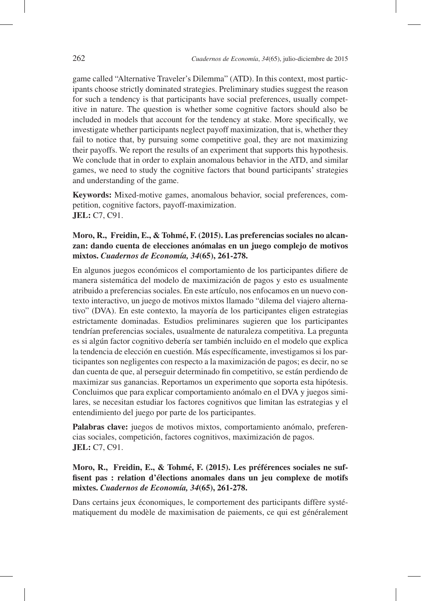game called "Alternative Traveler's Dilemma" (ATD). In this context, most participants choose strictly dominated strategies. Preliminary studies suggest the reason for such a tendency is that participants have social preferences, usually competitive in nature. The question is whether some cognitive factors should also be included in models that account for the tendency at stake. More specifically, we investigate whether participants neglect payoff maximization, that is, whether they fail to notice that, by pursuing some competitive goal, they are not maximizing their payoffs. We report the results of an experiment that supports this hypothesis. We conclude that in order to explain anomalous behavior in the ATD, and similar games, we need to study the cognitive factors that bound participants' strategies and understanding of the game.

**Keywords:** Mixed-motive games, anomalous behavior, social preferences, competition, cognitive factors, payoff-maximization. **JEL:** C7, C91.

#### **Moro, R., Freidin, E., & Tohmé, F. (2015). Las preferencias sociales no alcanzan: dando cuenta de elecciones anómalas en un juego complejo de motivos mixtos.** *Cuadernos de Economía, 34***(65), 261-278.**

En algunos juegos económicos el comportamiento de los participantes difiere de manera sistemática del modelo de maximización de pagos y esto es usualmente atribuido a preferencias sociales. En este artículo, nos enfocamos en un nuevo contexto interactivo, un juego de motivos mixtos llamado "dilema del viajero alternativo" (DVA). En este contexto, la mayoría de los participantes eligen estrategias estrictamente dominadas. Estudios preliminares sugieren que los participantes tendrían preferencias sociales, usualmente de naturaleza competitiva. La pregunta es si algún factor cognitivo debería ser también incluido en el modelo que explica la tendencia de elección en cuestión. Más específicamente, investigamos si los participantes son negligentes con respecto a la maximización de pagos; es decir, no se dan cuenta de que, al perseguir determinado fin competitivo, se están perdiendo de maximizar sus ganancias. Reportamos un experimento que soporta esta hipótesis. Concluimos que para explicar comportamiento anómalo en el DVA y juegos similares, se necesitan estudiar los factores cognitivos que limitan las estrategias y el entendimiento del juego por parte de los participantes.

**Palabras clave:** juegos de motivos mixtos, comportamiento anómalo, preferencias sociales, competición, factores cognitivos, maximización de pagos. **JEL:** C7, C91.

#### **Moro, R., Freidin, E., & Tohmé, F. (2015). Les préférences sociales ne suffisent pas : relation d'élections anomales dans un jeu complexe de motifs mixtes.** *Cuadernos de Economía, 34***(65), 261-278.**

Dans certains jeux économiques, le comportement des participants diffère systématiquement du modèle de maximisation de paiements, ce qui est généralement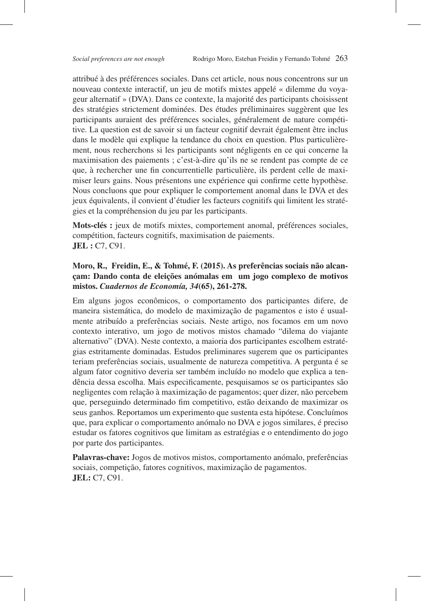attribué à des préférences sociales. Dans cet article, nous nous concentrons sur un nouveau contexte interactif, un jeu de motifs mixtes appelé « dilemme du voyageur alternatif » (DVA). Dans ce contexte, la majorité des participants choisissent des stratégies strictement dominées. Des études préliminaires suggèrent que les participants auraient des préférences sociales, généralement de nature compétitive. La question est de savoir si un facteur cognitif devrait également être inclus dans le modèle qui explique la tendance du choix en question. Plus particulièrement, nous recherchons si les participants sont négligents en ce qui concerne la maximisation des paiements ; c'est-à-dire qu'ils ne se rendent pas compte de ce que, à rechercher une fin concurrentielle particulière, ils perdent celle de maximiser leurs gains. Nous présentons une expérience qui confirme cette hypothèse. Nous concluons que pour expliquer le comportement anomal dans le DVA et des jeux équivalents, il convient d'étudier les facteurs cognitifs qui limitent les stratégies et la compréhension du jeu par les participants.

**Mots-clés :** jeux de motifs mixtes, comportement anomal, préférences sociales, compétition, facteurs cognitifs, maximisation de paiements. **JEL :** C7, C91.

#### **Moro, R., Freidin, E., & Tohmé, F. (2015). As preferências sociais não alcançam: Dando conta de eleições anómalas em um jogo complexo de motivos mistos.** *Cuadernos de Economía, 34***(65), 261-278.**

Em alguns jogos econômicos, o comportamento dos participantes difere, de maneira sistemática, do modelo de maximização de pagamentos e isto é usualmente atribuído a preferências sociais. Neste artigo, nos focamos em um novo contexto interativo, um jogo de motivos mistos chamado "dilema do viajante alternativo" (DVA). Neste contexto, a maioria dos participantes escolhem estratégias estritamente dominadas. Estudos preliminares sugerem que os participantes teriam preferências sociais, usualmente de natureza competitiva. A pergunta é se algum fator cognitivo deveria ser também incluído no modelo que explica a tendência dessa escolha. Mais especificamente, pesquisamos se os participantes são negligentes com relação à maximização de pagamentos; quer dizer, não percebem que, perseguindo determinado fim competitivo, estão deixando de maximizar os seus ganhos. Reportamos um experimento que sustenta esta hipótese. Concluímos que, para explicar o comportamento anómalo no DVA e jogos similares, é preciso estudar os fatores cognitivos que limitam as estratégias e o entendimento do jogo por parte dos participantes.

**Palavras-chave:** Jogos de motivos mistos, comportamento anómalo, preferências sociais, competição, fatores cognitivos, maximização de pagamentos. **JEL:** C7, C91.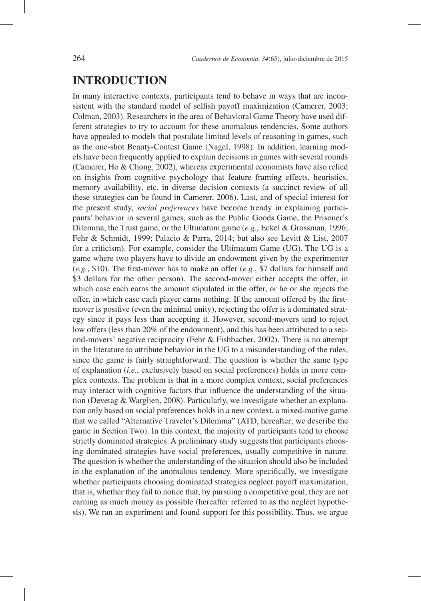# **INTRODUCTION**

In many interactive contexts, participants tend to behave in ways that are inconsistent with the standard model of selfish payoff maximization (Camerer, 2003; Colman, 2003). Researchers in the area of Behavioral Game Theory have used different strategies to try to account for these anomalous tendencies. Some authors have appealed to models that postulate limited levels of reasoning in games, such as the one-shot Beauty-Contest Game (Nagel, 1998). In addition, learning models have been frequently applied to explain decisions in games with several rounds (Camerer, Ho & Chong, 2002), whereas experimental economists have also relied on insights from cognitive psychology that feature framing effects, heuristics, memory availability, etc. in diverse decision contexts (a succinct review of all these strategies can be found in Camerer, 2006). Last, and of special interest for the present study, *social preferences* have become trendy in explaining participants' behavior in several games, such as the Public Goods Game, the Prisoner's Dilemma, the Trust game, or the Ultimatum game (*e.g.*, Eckel & Grossman, 1996; Fehr & Schmidt, 1999; Palacio & Parra, 2014; but also see Levitt & List, 2007 for a criticism). For example, consider the Ultimatum Game (UG). The UG is a game where two players have to divide an endowment given by the experimenter (*e.g.*, \$10). The first-mover has to make an offer (*e.g.*, \$7 dollars for himself and \$3 dollars for the other person). The second-mover either accepts the offer, in which case each earns the amount stipulated in the offer, or he or she rejects the offer, in which case each player earns nothing. If the amount offered by the firstmover is positive (even the minimal unity), rejecting the offer is a dominated strategy since it pays less than accepting it. However, second-movers tend to reject low offers (less than 20% of the endowment), and this has been attributed to a second-movers' negative reciprocity (Fehr & Fishbacher, 2002). There is no attempt in the literature to attribute behavior in the UG to a misunderstanding of the rules, since the game is fairly straightforward. The question is whether the same type of explanation (*i.e.*, exclusively based on social preferences) holds in more complex contexts. The problem is that in a more complex context, social preferences may interact with cognitive factors that influence the understanding of the situation (Devetag & Warglien, 2008). Particularly, we investigate whether an explanation only based on social preferences holds in a new context, a mixed-motive game that we called "Alternative Traveler's Dilemma" (ATD, hereafter; we describe the game in Section Two). In this context, the majority of participants tend to choose strictly dominated strategies. A preliminary study suggests that participants choosing dominated strategies have social preferences, usually competitive in nature. The question is whether the understanding of the situation should also be included in the explanation of the anomalous tendency. More specifically, we investigate whether participants choosing dominated strategies neglect payoff maximization, that is, whether they fail to notice that, by pursuing a competitive goal, they are not earning as much money as possible (hereafter referred to as the neglect hypothesis). We ran an experiment and found support for this possibility. Thus, we argue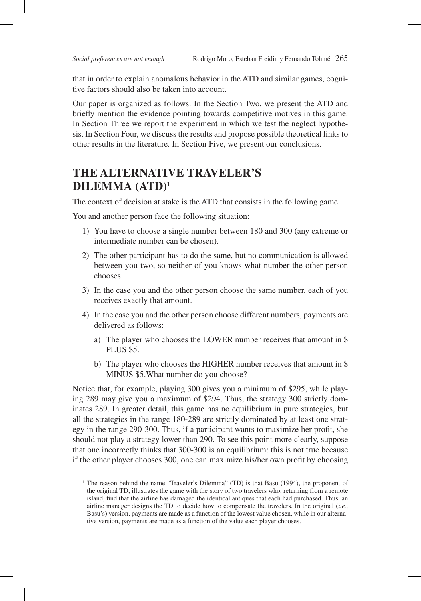that in order to explain anomalous behavior in the ATD and similar games, cognitive factors should also be taken into account.

Our paper is organized as follows. In the Section Two, we present the ATD and briefly mention the evidence pointing towards competitive motives in this game. In Section Three we report the experiment in which we test the neglect hypothesis. In Section Four, we discuss the results and propose possible theoretical links to other results in the literature. In Section Five, we present our conclusions.

# **THE ALTERNATIVE TRAVELER'S DILEMMA (ATD)1**

The context of decision at stake is the ATD that consists in the following game:

You and another person face the following situation:

- 1) You have to choose a single number between 180 and 300 (any extreme or intermediate number can be chosen).
- 2) The other participant has to do the same, but no communication is allowed between you two, so neither of you knows what number the other person chooses.
- 3) In the case you and the other person choose the same number, each of you receives exactly that amount.
- 4) In the case you and the other person choose different numbers, payments are delivered as follows:
	- a) The player who chooses the LOWER number receives that amount in \$ PLUS \$5.
	- b) The player who chooses the HIGHER number receives that amount in \$ MINUS \$5.What number do you choose?

Notice that, for example, playing 300 gives you a minimum of \$295, while playing 289 may give you a maximum of \$294. Thus, the strategy 300 strictly dominates 289. In greater detail, this game has no equilibrium in pure strategies, but all the strategies in the range 180-289 are strictly dominated by at least one strategy in the range 290-300. Thus, if a participant wants to maximize her profit, she should not play a strategy lower than 290. To see this point more clearly, suppose that one incorrectly thinks that 300-300 is an equilibrium: this is not true because if the other player chooses 300, one can maximize his/her own profit by choosing

<sup>&</sup>lt;sup>1</sup> The reason behind the name "Traveler's Dilemma" (TD) is that Basu (1994), the proponent of the original TD, illustrates the game with the story of two travelers who, returning from a remote island, find that the airline has damaged the identical antiques that each had purchased. Thus, an airline manager designs the TD to decide how to compensate the travelers. In the original (*i.e.*, Basu's) version, payments are made as a function of the lowest value chosen, while in our alternative version, payments are made as a function of the value each player chooses.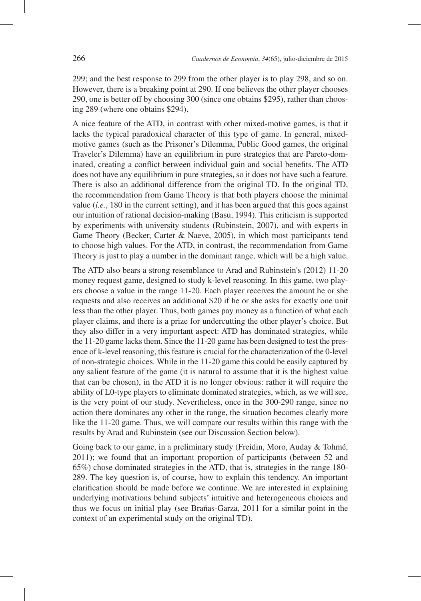299; and the best response to 299 from the other player is to play 298, and so on. However, there is a breaking point at 290. If one believes the other player chooses 290, one is better off by choosing 300 (since one obtains \$295), rather than choosing 289 (where one obtains \$294).

A nice feature of the ATD, in contrast with other mixed-motive games, is that it lacks the typical paradoxical character of this type of game. In general, mixedmotive games (such as the Prisoner's Dilemma, Public Good games, the original Traveler's Dilemma) have an equilibrium in pure strategies that are Pareto-dominated, creating a conflict between individual gain and social benefits. The ATD does not have any equilibrium in pure strategies, so it does not have such a feature. There is also an additional difference from the original TD. In the original TD, the recommendation from Game Theory is that both players choose the minimal value (*i.e.*, 180 in the current setting), and it has been argued that this goes against our intuition of rational decision-making (Basu, 1994). This criticism is supported by experiments with university students (Rubinstein, 2007), and with experts in Game Theory (Becker, Carter & Naeve, 2005), in which most participants tend to choose high values. For the ATD, in contrast, the recommendation from Game Theory is just to play a number in the dominant range, which will be a high value.

The ATD also bears a strong resemblance to Arad and Rubinstein's (2012) 11-20 money request game, designed to study k-level reasoning. In this game, two players choose a value in the range 11-20. Each player receives the amount he or she requests and also receives an additional \$20 if he or she asks for exactly one unit less than the other player. Thus, both games pay money as a function of what each player claims, and there is a prize for undercutting the other player's choice. But they also differ in a very important aspect: ATD has dominated strategies, while the 11-20 game lacks them. Since the 11-20 game has been designed to test the presence of k-level reasoning, this feature is crucial for the characterization of the 0-level of non-strategic choices. While in the 11-20 game this could be easily captured by any salient feature of the game (it is natural to assume that it is the highest value that can be chosen), in the ATD it is no longer obvious: rather it will require the ability of L0-type players to eliminate dominated strategies, which, as we will see, is the very point of our study. Nevertheless, once in the 300-290 range, since no action there dominates any other in the range, the situation becomes clearly more like the 11-20 game. Thus, we will compare our results within this range with the results by Arad and Rubinstein (see our Discussion Section below).

Going back to our game, in a preliminary study (Freidin, Moro, Auday & Tohmé, 2011); we found that an important proportion of participants (between 52 and 65%) chose dominated strategies in the ATD, that is, strategies in the range 180- 289. The key question is, of course, how to explain this tendency. An important clarification should be made before we continue. We are interested in explaining underlying motivations behind subjects' intuitive and heterogeneous choices and thus we focus on initial play (see Brañas-Garza, 2011 for a similar point in the context of an experimental study on the original TD).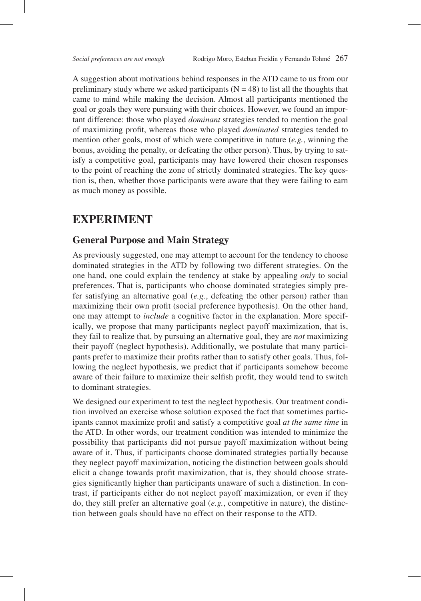A suggestion about motivations behind responses in the ATD came to us from our preliminary study where we asked participants ( $N = 48$ ) to list all the thoughts that came to mind while making the decision. Almost all participants mentioned the goal or goals they were pursuing with their choices. However, we found an important difference: those who played *dominant* strategies tended to mention the goal of maximizing profit, whereas those who played *dominated* strategies tended to mention other goals, most of which were competitive in nature (*e.g.*, winning the bonus, avoiding the penalty, or defeating the other person). Thus, by trying to satisfy a competitive goal, participants may have lowered their chosen responses to the point of reaching the zone of strictly dominated strategies. The key question is, then, whether those participants were aware that they were failing to earn as much money as possible.

## **EXPERIMENT**

### **General Purpose and Main Strategy**

As previously suggested, one may attempt to account for the tendency to choose dominated strategies in the ATD by following two different strategies. On the one hand, one could explain the tendency at stake by appealing *only* to social preferences. That is, participants who choose dominated strategies simply prefer satisfying an alternative goal (*e.g.*, defeating the other person) rather than maximizing their own profit (social preference hypothesis). On the other hand, one may attempt to *include* a cognitive factor in the explanation. More specifically, we propose that many participants neglect payoff maximization, that is, they fail to realize that, by pursuing an alternative goal, they are *not* maximizing their payoff (neglect hypothesis). Additionally, we postulate that many participants prefer to maximize their profits rather than to satisfy other goals. Thus, following the neglect hypothesis, we predict that if participants somehow become aware of their failure to maximize their selfish profit, they would tend to switch to dominant strategies.

We designed our experiment to test the neglect hypothesis. Our treatment condition involved an exercise whose solution exposed the fact that sometimes participants cannot maximize profit and satisfy a competitive goal *at the same time* in the ATD. In other words, our treatment condition was intended to minimize the possibility that participants did not pursue payoff maximization without being aware of it. Thus, if participants choose dominated strategies partially because they neglect payoff maximization, noticing the distinction between goals should elicit a change towards profit maximization, that is, they should choose strategies significantly higher than participants unaware of such a distinction. In contrast, if participants either do not neglect payoff maximization, or even if they do, they still prefer an alternative goal (*e.g.*, competitive in nature), the distinction between goals should have no effect on their response to the ATD.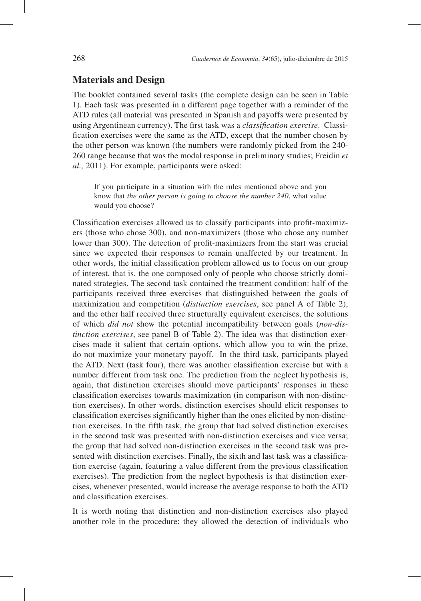### **Materials and Design**

The booklet contained several tasks (the complete design can be seen in Table 1). Each task was presented in a different page together with a reminder of the ATD rules (all material was presented in Spanish and payoffs were presented by using Argentinean currency). The first task was a *classification exercise*. Classification exercises were the same as the ATD, except that the number chosen by the other person was known (the numbers were randomly picked from the 240- 260 range because that was the modal response in preliminary studies; Freidin *et al.,* 2011). For example, participants were asked:

If you participate in a situation with the rules mentioned above and you know that *the other person is going to choose the number 240*, what value would you choose?

Classification exercises allowed us to classify participants into profit-maximizers (those who chose 300), and non-maximizers (those who chose any number lower than 300). The detection of profit-maximizers from the start was crucial since we expected their responses to remain unaffected by our treatment. In other words, the initial classification problem allowed us to focus on our group of interest, that is, the one composed only of people who choose strictly dominated strategies. The second task contained the treatment condition: half of the participants received three exercises that distinguished between the goals of maximization and competition (*distinction exercises*, see panel A of Table 2), and the other half received three structurally equivalent exercises, the solutions of which *did not* show the potential incompatibility between goals (*non-distinction exercises*, see panel B of Table 2). The idea was that distinction exercises made it salient that certain options, which allow you to win the prize, do not maximize your monetary payoff. In the third task, participants played the ATD. Next (task four), there was another classification exercise but with a number different from task one. The prediction from the neglect hypothesis is, again, that distinction exercises should move participants' responses in these classification exercises towards maximization (in comparison with non-distinction exercises). In other words, distinction exercises should elicit responses to classification exercises significantly higher than the ones elicited by non-distinction exercises. In the fifth task, the group that had solved distinction exercises in the second task was presented with non-distinction exercises and vice versa; the group that had solved non-distinction exercises in the second task was presented with distinction exercises. Finally, the sixth and last task was a classification exercise (again, featuring a value different from the previous classification exercises). The prediction from the neglect hypothesis is that distinction exercises, whenever presented, would increase the average response to both the ATD and classification exercises.

It is worth noting that distinction and non-distinction exercises also played another role in the procedure: they allowed the detection of individuals who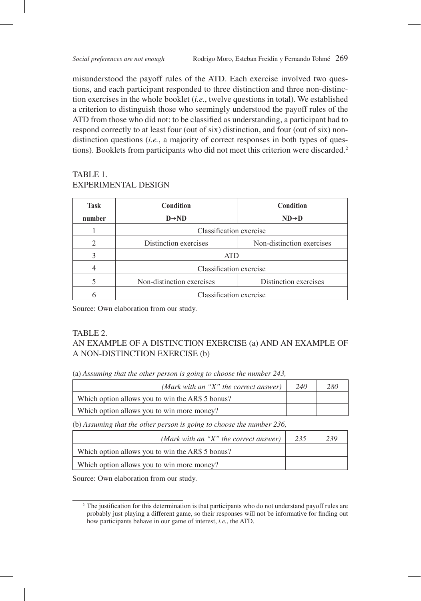misunderstood the payoff rules of the ATD. Each exercise involved two questions, and each participant responded to three distinction and three non-distinction exercises in the whole booklet (*i.e.*, twelve questions in total). We established a criterion to distinguish those who seemingly understood the payoff rules of the ATD from those who did not: to be classified as understanding, a participant had to respond correctly to at least four (out of six) distinction, and four (out of six) nondistinction questions (*i.e.*, a majority of correct responses in both types of questions). Booklets from participants who did not meet this criterion were discarded.<sup>2</sup>

### TABLE 1. EXPERIMENTAL DESIGN

| Task   | <b>Condition</b>          | <b>Condition</b>          |  |
|--------|---------------------------|---------------------------|--|
| number | $D \rightarrow ND$        | $ND \rightarrow D$        |  |
|        | Classification exercise   |                           |  |
|        | Distinction exercises     | Non-distinction exercises |  |
|        | <b>ATD</b>                |                           |  |
|        | Classification exercise   |                           |  |
|        | Non-distinction exercises | Distinction exercises     |  |
|        | Classification exercise   |                           |  |

Source: Own elaboration from our study.

#### TABLE 2. AN EXAMPLE OF A DISTINCTION EXERCISE (a) AND AN EXAMPLE OF A NON-DISTINCTION EXERCISE (b)

(a) *Assuming that the other person is going to choose the number 243,* 

| (Mark with an "X" the correct answer)            | 240 | 280 |
|--------------------------------------------------|-----|-----|
| Which option allows you to win the AR\$ 5 bonus? |     |     |
| Which option allows you to win more money?       |     |     |

(b) *Assuming that the other person is going to choose the number 236,* 

| (Mark with an "X" the correct answer) $\vert$    | 235 | 239 |
|--------------------------------------------------|-----|-----|
| Which option allows you to win the AR\$ 5 bonus? |     |     |
| Which option allows you to win more money?       |     |     |

Source: Own elaboration from our study.

<sup>&</sup>lt;sup>2</sup> The justification for this determination is that participants who do not understand payoff rules are probably just playing a different game, so their responses will not be informative for finding out how participants behave in our game of interest, *i.e.*, the ATD.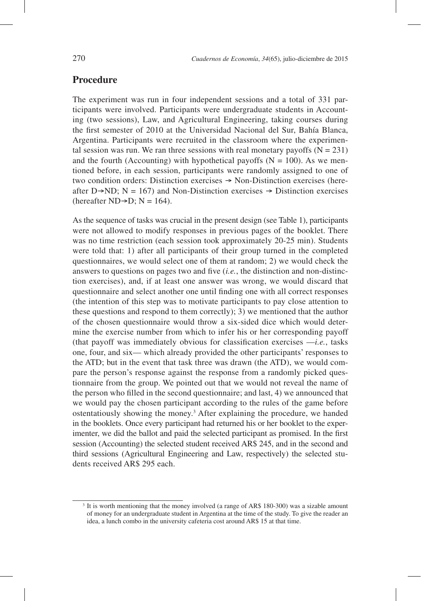### **Procedure**

The experiment was run in four independent sessions and a total of 331 participants were involved. Participants were undergraduate students in Accounting (two sessions), Law, and Agricultural Engineering, taking courses during the first semester of 2010 at the Universidad Nacional del Sur, Bahía Blanca, Argentina. Participants were recruited in the classroom where the experimental session was run. We ran three sessions with real monetary payoffs  $(N = 231)$ and the fourth (Accounting) with hypothetical payoffs ( $N = 100$ ). As we mentioned before, in each session, participants were randomly assigned to one of two condition orders: Distinction exercises  $\rightarrow$  Non-Distinction exercises (hereafter D $\rightarrow$ ND; N = 167) and Non-Distinction exercises  $\rightarrow$  Distinction exercises (hereafter ND $\rightarrow$ D; N = 164).

As the sequence of tasks was crucial in the present design (see Table 1), participants were not allowed to modify responses in previous pages of the booklet. There was no time restriction (each session took approximately 20-25 min). Students were told that: 1) after all participants of their group turned in the completed questionnaires, we would select one of them at random; 2) we would check the answers to questions on pages two and five (*i.e.*, the distinction and non-distinction exercises), and, if at least one answer was wrong, we would discard that questionnaire and select another one until finding one with all correct responses (the intention of this step was to motivate participants to pay close attention to these questions and respond to them correctly); 3) we mentioned that the author of the chosen questionnaire would throw a six-sided dice which would determine the exercise number from which to infer his or her corresponding payoff (that payoff was immediately obvious for classification exercises  $-i.e.,$  tasks one, four, and six— which already provided the other participants' responses to the ATD; but in the event that task three was drawn (the ATD), we would compare the person's response against the response from a randomly picked questionnaire from the group. We pointed out that we would not reveal the name of the person who filled in the second questionnaire; and last, 4) we announced that we would pay the chosen participant according to the rules of the game before ostentatiously showing the money.<sup>3</sup> After explaining the procedure, we handed in the booklets. Once every participant had returned his or her booklet to the experimenter, we did the ballot and paid the selected participant as promised. In the first session (Accounting) the selected student received AR\$ 245, and in the second and third sessions (Agricultural Engineering and Law, respectively) the selected students received AR\$ 295 each.

<sup>&</sup>lt;sup>3</sup> It is worth mentioning that the money involved (a range of AR\$ 180-300) was a sizable amount of money for an undergraduate student in Argentina at the time of the study. To give the reader an idea, a lunch combo in the university cafeteria cost around AR\$ 15 at that time.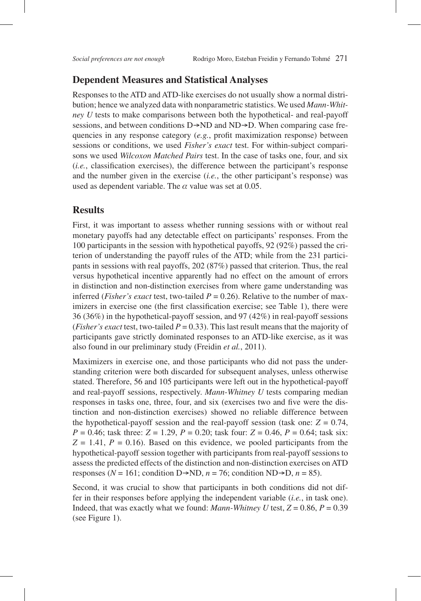### **Dependent Measures and Statistical Analyses**

Responses to the ATD and ATD-like exercises do not usually show a normal distribution; hence we analyzed data with nonparametric statistics. We used *Mann-Whitney U* tests to make comparisons between both the hypothetical- and real-payoff sessions, and between conditions  $D\rightarrow ND$  and  $ND\rightarrow D$ . When comparing case frequencies in any response category (*e.g.*, profit maximization response) between sessions or conditions, we used *Fisher's exact* test. For within-subject comparisons we used *Wilcoxon Matched Pairs* test. In the case of tasks one, four, and six (*i.e.*, classification exercises), the difference between the participant's response and the number given in the exercise (*i.e.*, the other participant's response) was used as dependent variable. The  $\alpha$  value was set at 0.05.

#### **Results**

First, it was important to assess whether running sessions with or without real monetary payoffs had any detectable effect on participants' responses. From the 100 participants in the session with hypothetical payoffs, 92 (92%) passed the criterion of understanding the payoff rules of the ATD; while from the 231 participants in sessions with real payoffs, 202 (87%) passed that criterion. Thus, the real versus hypothetical incentive apparently had no effect on the amount of errors in distinction and non-distinction exercises from where game understanding was inferred (*Fisher's exact* test, two-tailed  $P = 0.26$ ). Relative to the number of maximizers in exercise one (the first classification exercise; see Table 1), there were 36 (36%) in the hypothetical-payoff session, and 97 (42%) in real-payoff sessions (*Fisher's exact* test, two-tailed  $P = 0.33$ ). This last result means that the majority of participants gave strictly dominated responses to an ATD-like exercise, as it was also found in our preliminary study (Freidin *et al.*, 2011).

Maximizers in exercise one, and those participants who did not pass the understanding criterion were both discarded for subsequent analyses, unless otherwise stated. Therefore, 56 and 105 participants were left out in the hypothetical-payoff and real-payoff sessions, respectively. *Mann-Whitney U* tests comparing median responses in tasks one, three, four, and six (exercises two and five were the distinction and non-distinction exercises) showed no reliable difference between the hypothetical-payoff session and the real-payoff session (task one:  $Z = 0.74$ , *P* = 0.46; task three: *Z* = 1.29, *P* = 0.20; task four: *Z* = 0.46, *P* = 0.64; task six:  $Z = 1.41$ ,  $P = 0.16$ ). Based on this evidence, we pooled participants from the hypothetical-payoff session together with participants from real-payoff sessions to assess the predicted effects of the distinction and non-distinction exercises on ATD responses ( $N = 161$ ; condition D $\rightarrow$ ND,  $n = 76$ ; condition ND $\rightarrow$ D,  $n = 85$ ).

Second, it was crucial to show that participants in both conditions did not differ in their responses before applying the independent variable (*i.e.*, in task one). Indeed, that was exactly what we found: *Mann-Whitney U* test,  $Z = 0.86$ ,  $P = 0.39$ (see Figure 1).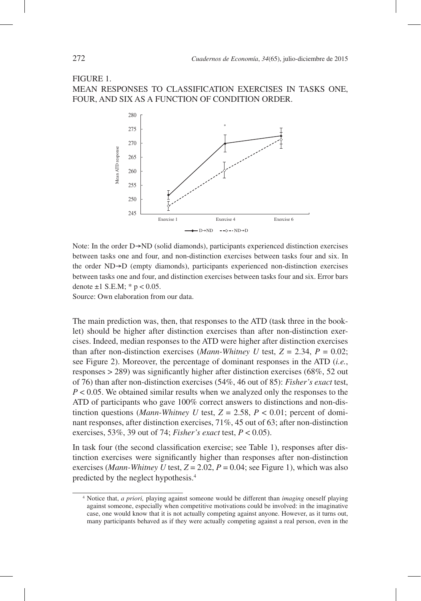#### FIGURE 1. MEAN RESPONSES TO CLASSIFICATION EXERCISES IN TASKS ONE, FOUR, AND SIX AS A FUNCTION OF CONDITION ORDER.



Note: In the order  $D\rightarrow ND$  (solid diamonds), participants experienced distinction exercises between tasks one and four, and non-distinction exercises between tasks four and six. In the order  $ND \rightarrow D$  (empty diamonds), participants experienced non-distinction exercises between tasks one and four, and distinction exercises between tasks four and six. Error bars denote  $\pm 1$  S.E.M;  $*$  p < 0.05.

Source: Own elaboration from our data.

The main prediction was, then, that responses to the ATD (task three in the booklet) should be higher after distinction exercises than after non-distinction exercises. Indeed, median responses to the ATD were higher after distinction exercises than after non-distinction exercises (*Mann-Whitney U* test,  $Z = 2.34$ ,  $P = 0.02$ ; see Figure 2). Moreover, the percentage of dominant responses in the ATD (*i.e.*, responses  $> 289$ ) was significantly higher after distinction exercises (68%, 52 out of 76) than after non-distinction exercises (54%, 46 out of 85): *Fisher's exact* test, *P* < 0.05. We obtained similar results when we analyzed only the responses to the ATD of participants who gave 100% correct answers to distinctions and non-distinction questions (*Mann-Whitney U* test,  $Z = 2.58$ ,  $P < 0.01$ ; percent of dominant responses, after distinction exercises, 71%, 45 out of 63; after non-distinction exercises, 53%, 39 out of 74; *Fisher's exact* test, *P* < 0.05).

In task four (the second classification exercise; see Table 1), responses after distinction exercises were significantly higher than responses after non-distinction exercises (*Mann-Whitney U* test,  $Z = 2.02$ ,  $P = 0.04$ ; see Figure 1), which was also predicted by the neglect hypothesis.4

<sup>4</sup> Notice that, *a priori,* playing against someone would be different than *imaging* oneself playing against someone, especially when competitive motivations could be involved: in the imaginative case, one would know that it is not actually competing against anyone. However, as it turns out, many participants behaved as if they were actually competing against a real person, even in the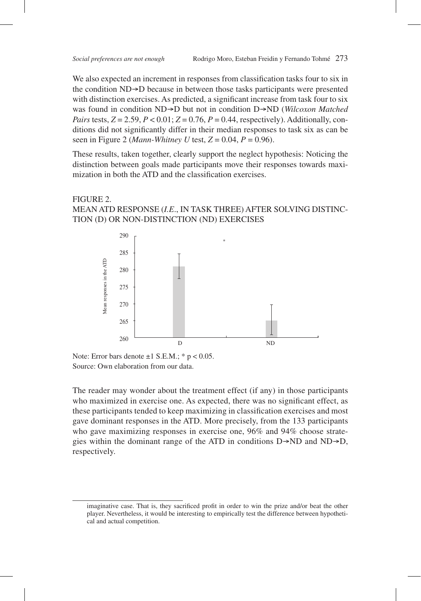We also expected an increment in responses from classification tasks four to six in the condition  $ND \rightarrow D$  because in between those tasks participants were presented with distinction exercises. As predicted, a significant increase from task four to six was found in condition ND $\rightarrow$ D but not in condition D $\rightarrow$ ND (*Wilcoxon Matched Pairs* tests,  $Z = 2.59$ ,  $P < 0.01$ ;  $Z = 0.76$ ,  $P = 0.44$ , respectively). Additionally, conditions did not significantly differ in their median responses to task six as can be seen in Figure 2 (*Mann-Whitney U* test, *Z* = 0.04, *P* = 0.96).

These results, taken together, clearly support the neglect hypothesis: Noticing the distinction between goals made participants move their responses towards maximization in both the ATD and the classification exercises.

### FIGURE 2. MEAN ATD RESPONSE (*I.E*., IN TASK THREE) AFTER SOLVING DISTINC-TION (D) OR NON-DISTINCTION (ND) EXERCISES



Note: Error bars denote  $\pm 1$  S.E.M.; \*  $p < 0.05$ . Source: Own elaboration from our data.

The reader may wonder about the treatment effect (if any) in those participants who maximized in exercise one. As expected, there was no significant effect, as these participants tended to keep maximizing in classification exercises and most gave dominant responses in the ATD. More precisely, from the 133 participants who gave maximizing responses in exercise one, 96% and 94% choose strategies within the dominant range of the ATD in conditions  $D \rightarrow ND$  and  $ND \rightarrow D$ , respectively.

imaginative case. That is, they sacrificed profit in order to win the prize and/or beat the other player. Nevertheless, it would be interesting to empirically test the difference between hypothetical and actual competition.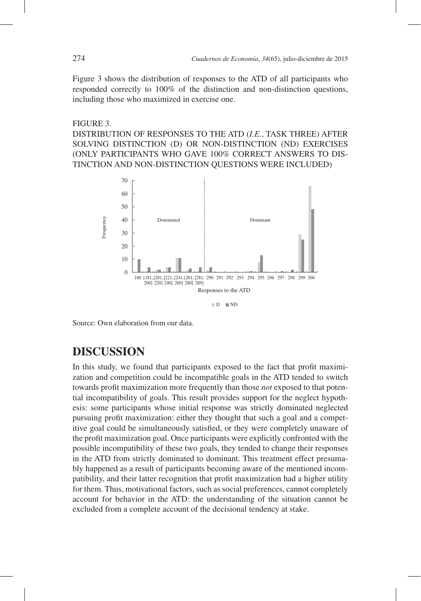Figure 3 shows the distribution of responses to the ATD of all participants who responded correctly to 100% of the distinction and non-distinction questions, including those who maximized in exercise one.

#### FIGURE 3.

DISTRIBUTION OF RESPONSES TO THE ATD (*I.E.*, TASK THREE) AFTER SOLVING DISTINCTION (D) OR NON-DISTINCTION (ND) EXERCISES (ONLY PARTICIPANTS WHO GAVE 100% CORRECT ANSWERS TO DIS-TINCTION AND NON-DISTINCTION QUESTIONS WERE INCLUDED)



Source: Own elaboration from our data.

# **DISCUSSION**

In this study, we found that participants exposed to the fact that profit maximization and competition could be incompatible goals in the ATD tended to switch towards profit maximization more frequently than those *not* exposed to that potential incompatibility of goals. This result provides support for the neglect hypothesis: some participants whose initial response was strictly dominated neglected pursuing profit maximization: either they thought that such a goal and a competitive goal could be simultaneously satisfied, or they were completely unaware of the profit maximization goal. Once participants were explicitly confronted with the possible incompatibility of these two goals, they tended to change their responses in the ATD from strictly dominated to dominant. This treatment effect presumably happened as a result of participants becoming aware of the mentioned incompatibility, and their latter recognition that profit maximization had a higher utility for them. Thus, motivational factors, such as social preferences, cannot completely account for behavior in the ATD: the understanding of the situation cannot be excluded from a complete account of the decisional tendency at stake.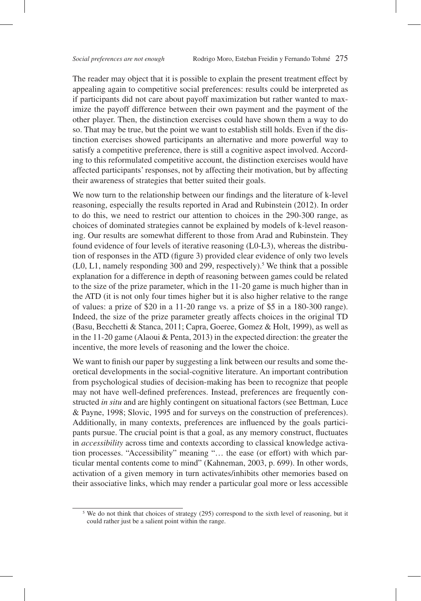The reader may object that it is possible to explain the present treatment effect by appealing again to competitive social preferences: results could be interpreted as if participants did not care about payoff maximization but rather wanted to maximize the payoff difference between their own payment and the payment of the other player. Then, the distinction exercises could have shown them a way to do so. That may be true, but the point we want to establish still holds. Even if the distinction exercises showed participants an alternative and more powerful way to satisfy a competitive preference, there is still a cognitive aspect involved. According to this reformulated competitive account, the distinction exercises would have affected participants' responses, not by affecting their motivation, but by affecting their awareness of strategies that better suited their goals.

We now turn to the relationship between our findings and the literature of k-level reasoning, especially the results reported in Arad and Rubinstein (2012). In order to do this, we need to restrict our attention to choices in the 290-300 range, as choices of dominated strategies cannot be explained by models of k-level reasoning. Our results are somewhat different to those from Arad and Rubinstein. They found evidence of four levels of iterative reasoning (L0-L3), whereas the distribution of responses in the ATD (figure 3) provided clear evidence of only two levels  $(L0, L1,$  namely responding 300 and 299, respectively).<sup>5</sup> We think that a possible explanation for a difference in depth of reasoning between games could be related to the size of the prize parameter, which in the 11-20 game is much higher than in the ATD (it is not only four times higher but it is also higher relative to the range of values: a prize of \$20 in a 11-20 range vs. a prize of \$5 in a 180-300 range). Indeed, the size of the prize parameter greatly affects choices in the original TD (Basu, Becchetti & Stanca, 2011; Capra, Goeree, Gomez & Holt, 1999), as well as in the 11-20 game (Alaoui & Penta, 2013) in the expected direction: the greater the incentive, the more levels of reasoning and the lower the choice.

We want to finish our paper by suggesting a link between our results and some theoretical developments in the social-cognitive literature. An important contribution from psychological studies of decision-making has been to recognize that people may not have well-defined preferences. Instead, preferences are frequently constructed *in situ* and are highly contingent on situational factors (see Bettman*,* Luce & Payne, 1998; Slovic, 1995 and for surveys on the construction of preferences). Additionally, in many contexts, preferences are influenced by the goals participants pursue. The crucial point is that a goal, as any memory construct, fluctuates in *accessibility* across time and contexts according to classical knowledge activation processes. "Accessibility" meaning "… the ease (or effort) with which particular mental contents come to mind" (Kahneman, 2003, p. 699). In other words, activation of a given memory in turn activates/inhibits other memories based on their associative links, which may render a particular goal more or less accessible

<sup>&</sup>lt;sup>5</sup> We do not think that choices of strategy (295) correspond to the sixth level of reasoning, but it could rather just be a salient point within the range.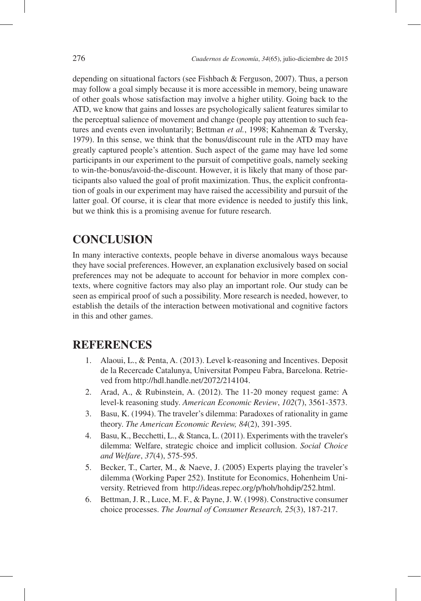depending on situational factors (see Fishbach & Ferguson, 2007). Thus, a person may follow a goal simply because it is more accessible in memory, being unaware of other goals whose satisfaction may involve a higher utility. Going back to the ATD, we know that gains and losses are psychologically salient features similar to the perceptual salience of movement and change (people pay attention to such features and events even involuntarily; Bettman *et al.*, 1998; Kahneman & Tversky, 1979). In this sense, we think that the bonus/discount rule in the ATD may have greatly captured people's attention. Such aspect of the game may have led some participants in our experiment to the pursuit of competitive goals, namely seeking to win-the-bonus/avoid-the-discount. However, it is likely that many of those participants also valued the goal of profit maximization. Thus, the explicit confrontation of goals in our experiment may have raised the accessibility and pursuit of the latter goal. Of course, it is clear that more evidence is needed to justify this link, but we think this is a promising avenue for future research.

# **CONCLUSION**

In many interactive contexts, people behave in diverse anomalous ways because they have social preferences. However, an explanation exclusively based on social preferences may not be adequate to account for behavior in more complex contexts, where cognitive factors may also play an important role. Our study can be seen as empirical proof of such a possibility. More research is needed, however, to establish the details of the interaction between motivational and cognitive factors in this and other games.

## **REFERENCES**

- 1. Alaoui, L., & Penta, A. (2013). Level k-reasoning and Incentives. Deposit de la Recercade Catalunya, Universitat Pompeu Fabra, Barcelona. Retrieved from http://hdl.handle.net/2072/214104.
- 2. Arad, A., & Rubinstein, A. (2012). The 11-20 money request game: A level-k reasoning study. *American Economic Review*, *102*(7), 3561-3573.
- 3. Basu, K. (1994). The traveler's dilemma: Paradoxes of rationality in game theory. *The American Economic Review, 84*(2), 391-395.
- 4. Basu, K., Becchetti, L., & Stanca, L. (2011). Experiments with the traveler's dilemma: Welfare, strategic choice and implicit collusion. *Social Choice and Welfare*, *37*(4), 575-595.
- 5. Becker, T., Carter, M., & Naeve, J. (2005) Experts playing the traveler's dilemma (Working Paper 252). Institute for Economics, Hohenheim University. Retrieved from http://ideas.repec.org/p/hoh/hohdip/252.html.
- 6. Bettman, J. R., Luce, M. F., & Payne, J. W. (1998). Constructive consumer choice processes. *The Journal of Consumer Research, 25*(3), 187-217.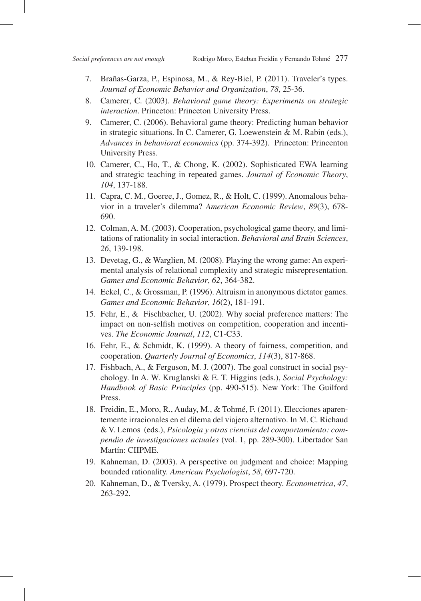- 7. Brañas-Garza, P., Espinosa, M., & Rey-Biel, P. (2011). Traveler's types. *Journal of Economic Behavior and Organization*, *78*, 25-36.
- 8. Camerer, C. (2003). *Behavioral game theory: Experiments on strategic interaction*. Princeton: Princeton University Press.
- 9. Camerer, C. (2006). Behavioral game theory: Predicting human behavior in strategic situations. In C. Camerer, G. Loewenstein & M. Rabin (eds.), *Advances in behavioral economics* (pp. 374-392). Princeton: Princenton University Press.
- 10. Camerer, C., Ho, T., & Chong, K. (2002). Sophisticated EWA learning and strategic teaching in repeated games. *Journal of Economic Theory*, *104*, 137-188.
- 11. Capra, C. M., Goeree, J., Gomez, R., & Holt, C. (1999). Anomalous behavior in a traveler's dilemma? *American Economic Review*, *89*(3), 678- 690.
- 12. Colman, A. M. (2003). Cooperation, psychological game theory, and limitations of rationality in social interaction. *Behavioral and Brain Sciences*, *26*, 139-198.
- 13. Devetag, G., & Warglien, M. (2008). Playing the wrong game: An experimental analysis of relational complexity and strategic misrepresentation. *Games and Economic Behavior*, *62*, 364-382.
- 14. Eckel, C., & Grossman, P. (1996). Altruism in anonymous dictator games. *Games and Economic Behavior*, *16*(2), 181-191.
- 15. Fehr, E., & Fischbacher, U. (2002). Why social preference matters: The impact on non-selfish motives on competition, cooperation and incentives. *The Economic Journal*, *112*, C1-C33.
- 16. Fehr, E., & Schmidt, K. (1999). A theory of fairness, competition, and cooperation. *Quarterly Journal of Economics*, *114*(3), 817-868.
- 17. Fishbach, A., & Ferguson, M. J. (2007). The goal construct in social psychology. In A. W. Kruglanski & E. T. Higgins (eds.), *Social Psychology: Handbook of Basic Principles* (pp. 490-515). New York: The Guilford Press.
- 18. Freidin, E., Moro, R., Auday, M., & Tohmé, F. (2011). Elecciones aparentemente irracionales en el dilema del viajero alternativo. In M. C. Richaud & V. Lemos (eds.), *Psicología y otras ciencias del comportamiento: compendio de investigaciones actuales* (vol. 1, pp. 289-300). Libertador San Martín: CIIPME.
- 19. Kahneman, D. (2003). A perspective on judgment and choice: Mapping bounded rationality. *American Psychologist*, *58*, 697-720.
- 20. Kahneman, D., & Tversky, A. (1979). Prospect theory. *Econometrica*, *47*, 263-292.